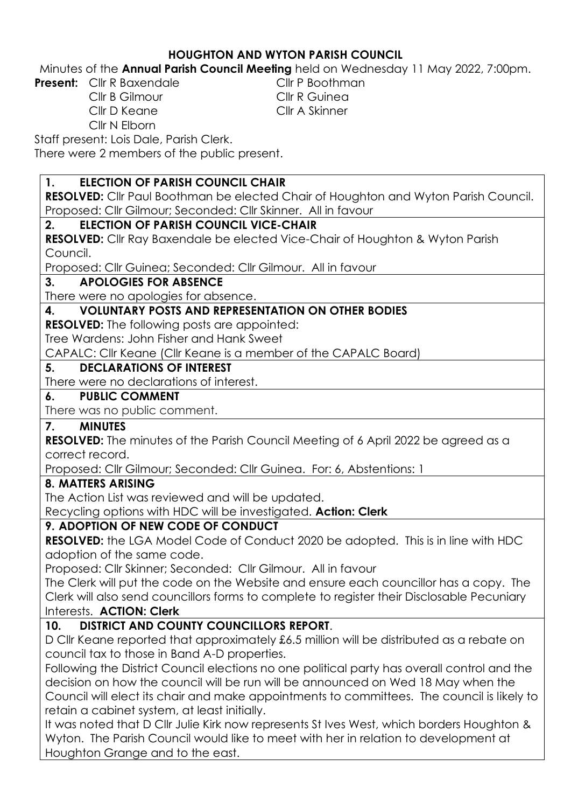### **HOUGHTON AND WYTON PARISH COUNCIL**

Minutes of the **Annual Parish Council Meeting** held on Wednesday 11 May 2022, 7:00pm.

**Present:** Cllr R Baxendale Cllr P Boothman

Cllr B Gilmour Cllr R Guinea Cllr D Keane Cllr A Skinner Cllr N Elborn

Staff present: Lois Dale, Parish Clerk.

There were 2 members of the public present.

### **1. ELECTION OF PARISH COUNCIL CHAIR**

**RESOLVED:** Cllr Paul Boothman be elected Chair of Houghton and Wyton Parish Council. Proposed: Cllr Gilmour; Seconded: Cllr Skinner. All in favour

### **2. ELECTION OF PARISH COUNCIL VICE-CHAIR**

**RESOLVED:** Cllr Ray Baxendale be elected Vice-Chair of Houghton & Wyton Parish Council.

Proposed: Cllr Guinea; Seconded: Cllr Gilmour. All in favour

#### **3. APOLOGIES FOR ABSENCE**

There were no apologies for absence.

### **4. VOLUNTARY POSTS AND REPRESENTATION ON OTHER BODIES**

**RESOLVED:** The following posts are appointed:

Tree Wardens: John Fisher and Hank Sweet

CAPALC: Cllr Keane (Cllr Keane is a member of the CAPALC Board)

#### **5. DECLARATIONS OF INTEREST**

There were no declarations of interest.

#### **6. PUBLIC COMMENT**

There was no public comment.

### **7. MINUTES**

**RESOLVED:** The minutes of the Parish Council Meeting of 6 April 2022 be agreed as a correct record.

Proposed: Cllr Gilmour; Seconded: Cllr Guinea. For: 6, Abstentions: 1

### **8. MATTERS ARISING**

The Action List was reviewed and will be updated.

Recycling options with HDC will be investigated. **Action: Clerk**

### **9. ADOPTION OF NEW CODE OF CONDUCT**

**RESOLVED:** the LGA Model Code of Conduct 2020 be adopted. This is in line with HDC adoption of the same code.

Proposed: Cllr Skinner; Seconded: Cllr Gilmour. All in favour

The Clerk will put the code on the Website and ensure each councillor has a copy. The Clerk will also send councillors forms to complete to register their Disclosable Pecuniary Interests. **ACTION: Clerk**

### **10. DISTRICT AND COUNTY COUNCILLORS REPORT**.

D Cllr Keane reported that approximately £6.5 million will be distributed as a rebate on council tax to those in Band A-D properties.

Following the District Council elections no one political party has overall control and the decision on how the council will be run will be announced on Wed 18 May when the Council will elect its chair and make appointments to committees. The council is likely to retain a cabinet system, at least initially.

It was noted that D Cllr Julie Kirk now represents St Ives West, which borders Houghton & Wyton. The Parish Council would like to meet with her in relation to development at Houghton Grange and to the east.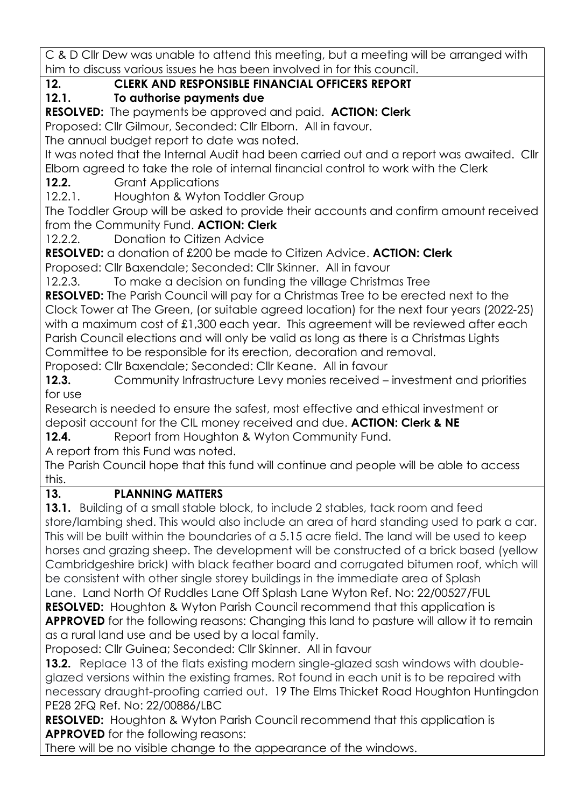C & D Cllr Dew was unable to attend this meeting, but a meeting will be arranged with him to discuss various issues he has been involved in for this council.

**12. CLERK AND RESPONSIBLE FINANCIAL OFFICERS REPORT**

# **12.1. To authorise payments due**

**RESOLVED:** The payments be approved and paid. **ACTION: Clerk**

Proposed: Cllr Gilmour, Seconded: Cllr Elborn. All in favour.

The annual budget report to date was noted.

It was noted that the Internal Audit had been carried out and a report was awaited. Cllr Elborn agreed to take the role of internal financial control to work with the Clerk

**12.2.** Grant Applications

12.2.1. Houghton & Wyton Toddler Group

The Toddler Group will be asked to provide their accounts and confirm amount received from the Community Fund. **ACTION: Clerk**

12.2.2. Donation to Citizen Advice

**RESOLVED:** a donation of £200 be made to Citizen Advice. **ACTION: Clerk**

Proposed: Cllr Baxendale; Seconded: Cllr Skinner. All in favour

12.2.3. To make a decision on funding the village Christmas Tree

**RESOLVED:** The Parish Council will pay for a Christmas Tree to be erected next to the Clock Tower at The Green, (or suitable agreed location) for the next four years (2022-25) with a maximum cost of £1,300 each year. This agreement will be reviewed after each Parish Council elections and will only be valid as long as there is a Christmas Lights Committee to be responsible for its erection, decoration and removal.

Proposed: Cllr Baxendale; Seconded: Cllr Keane. All in favour

**12.3.** Community Infrastructure Levy monies received – investment and priorities for use

Research is needed to ensure the safest, most effective and ethical investment or deposit account for the CIL money received and due. **ACTION: Clerk & NE**

**12.4.** Report from Houghton & Wyton Community Fund.

A report from this Fund was noted.

The Parish Council hope that this fund will continue and people will be able to access this.

## **13. PLANNING MATTERS**

**13.1.** Building of a small stable block, to include 2 stables, tack room and feed [store/lambing shed. This would also include an area of hard standing used to park a car.](https://publicaccess.huntingdonshire.gov.uk/online-applications/applicationDetails.do?keyVal=R85SWNIKKRK00&activeTab=summary)  [This will be built within the boundaries of a 5.15 acre field. The land will be used to keep](https://publicaccess.huntingdonshire.gov.uk/online-applications/applicationDetails.do?keyVal=R85SWNIKKRK00&activeTab=summary)  [horses and grazing sheep. The development will be constructed of a brick based \(yellow](https://publicaccess.huntingdonshire.gov.uk/online-applications/applicationDetails.do?keyVal=R85SWNIKKRK00&activeTab=summary)  [Cambridgeshire brick\) with black feather board and corrugated bitumen roof, which will](https://publicaccess.huntingdonshire.gov.uk/online-applications/applicationDetails.do?keyVal=R85SWNIKKRK00&activeTab=summary)  [be consistent with other single storey buildings in the immediate area of Splash](https://publicaccess.huntingdonshire.gov.uk/online-applications/applicationDetails.do?keyVal=R85SWNIKKRK00&activeTab=summary) 

[Lane.](https://publicaccess.huntingdonshire.gov.uk/online-applications/applicationDetails.do?keyVal=R85SWNIKKRK00&activeTab=summary) Land North Of Ruddles Lane Off Splash Lane Wyton Ref. No: 22/00527/FUL **RESOLVED:** Houghton & Wyton Parish Council recommend that this application is

**APPROVED** for the following reasons: Changing this land to pasture will allow it to remain as a rural land use and be used by a local family.

Proposed: Cllr Guinea; Seconded: Cllr Skinner. All in favour

**13.2.** [Replace 13 of the flats existing modern single-glazed sash windows with double](https://publicaccess.huntingdonshire.gov.uk/online-applications/applicationDetails.do?keyVal=RAA71QIKLPS00&activeTab=summary)[glazed versions within the existing frames. Rot found in each unit is to be repaired with](https://publicaccess.huntingdonshire.gov.uk/online-applications/applicationDetails.do?keyVal=RAA71QIKLPS00&activeTab=summary)  [necessary draught-proofing carried out.](https://publicaccess.huntingdonshire.gov.uk/online-applications/applicationDetails.do?keyVal=RAA71QIKLPS00&activeTab=summary) 19 The Elms Thicket Road Houghton Huntingdon PE28 2FQ Ref. No: 22/00886/LBC

**RESOLVED:** Houghton & Wyton Parish Council recommend that this application is **APPROVED** for the following reasons:

There will be no visible change to the appearance of the windows.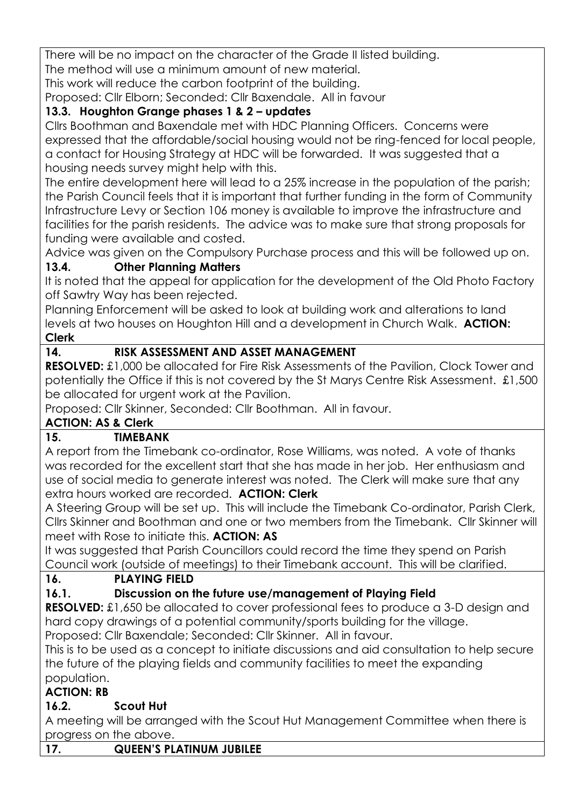There will be no impact on the character of the Grade II listed building. The method will use a minimum amount of new material.

This work will reduce the carbon footprint of the building.

Proposed: Cllr Elborn; Seconded: Cllr Baxendale. All in favour

## **13.3. Houghton Grange phases 1 & 2 – updates**

Cllrs Boothman and Baxendale met with HDC Planning Officers. Concerns were expressed that the affordable/social housing would not be ring-fenced for local people, a contact for Housing Strategy at HDC will be forwarded. It was suggested that a housing needs survey might help with this.

The entire development here will lead to a 25% increase in the population of the parish; the Parish Council feels that it is important that further funding in the form of Community Infrastructure Levy or Section 106 money is available to improve the infrastructure and facilities for the parish residents. The advice was to make sure that strong proposals for funding were available and costed.

Advice was given on the Compulsory Purchase process and this will be followed up on.

## **13.4. Other Planning Matters**

It is noted that the appeal for application for the development of the Old Photo Factory off Sawtry Way has been rejected.

Planning Enforcement will be asked to look at building work and alterations to land levels at two houses on Houghton Hill and a development in Church Walk. **ACTION: Clerk**

## **14. RISK ASSESSMENT AND ASSET MANAGEMENT**

**RESOLVED:** £1,000 be allocated for Fire Risk Assessments of the Pavilion, Clock Tower and potentially the Office if this is not covered by the St Marys Centre Risk Assessment. £1,500 be allocated for urgent work at the Pavilion.

Proposed: Cllr Skinner, Seconded: Cllr Boothman. All in favour.

## **ACTION: AS & Clerk**

## **15. TIMEBANK**

A report from the Timebank co-ordinator, Rose Williams, was noted. A vote of thanks was recorded for the excellent start that she has made in her job. Her enthusiasm and use of social media to generate interest was noted. The Clerk will make sure that any extra hours worked are recorded. **ACTION: Clerk**

A Steering Group will be set up. This will include the Timebank Co-ordinator, Parish Clerk, Cllrs Skinner and Boothman and one or two members from the Timebank. Cllr Skinner will meet with Rose to initiate this. **ACTION: AS**

It was suggested that Parish Councillors could record the time they spend on Parish Council work (outside of meetings) to their Timebank account. This will be clarified.

## **16. PLAYING FIELD**

# **16.1. Discussion on the future use/management of Playing Field**

**RESOLVED:** £1,650 be allocated to cover professional fees to produce a 3-D design and hard copy drawings of a potential community/sports building for the village.

Proposed: Cllr Baxendale; Seconded: Cllr Skinner. All in favour.

This is to be used as a concept to initiate discussions and aid consultation to help secure the future of the playing fields and community facilities to meet the expanding population.

### **ACTION: RB**

# **16.2. Scout Hut**

A meeting will be arranged with the Scout Hut Management Committee when there is progress on the above.

**17. QUEEN'S PLATINUM JUBILEE**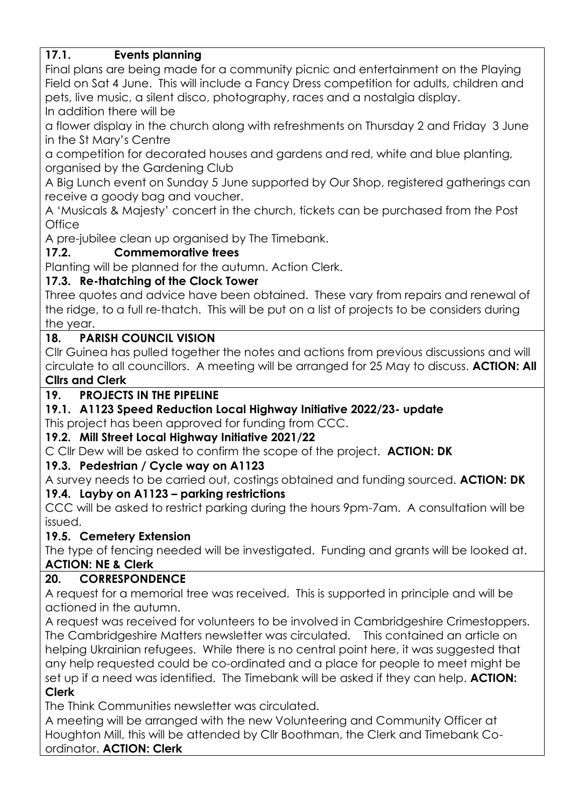### **17.1. Events planning**

Final plans are being made for a community picnic and entertainment on the Playing Field on Sat 4 June. This will include a Fancy Dress competition for adults, children and pets, live music, a silent disco, photography, races and a nostalgia display.

In addition there will be

a flower display in the church along with refreshments on Thursday 2 and Friday 3 June in the St Mary's Centre

a competition for decorated houses and gardens and red, white and blue planting, organised by the Gardening Club

A Big Lunch event on Sunday 5 June supported by Our Shop, registered gatherings can receive a goody bag and voucher.

A 'Musicals & Majesty' concert in the church, tickets can be purchased from the Post **Office** 

A pre-jubilee clean up organised by The Timebank.

### **17.2. Commemorative trees**

Planting will be planned for the autumn. Action Clerk.

### **17.3. Re-thatching of the Clock Tower**

Three quotes and advice have been obtained. These vary from repairs and renewal of the ridge, to a full re-thatch. This will be put on a list of projects to be considers during the year.

### **18. PARISH COUNCIL VISION**

Cllr Guinea has pulled together the notes and actions from previous discussions and will circulate to all councillors. A meeting will be arranged for 25 May to discuss. **ACTION: All Cllrs and Clerk**

### **19. PROJECTS IN THE PIPELINE**

### **19.1. A1123 Speed Reduction Local Highway Initiative 2022/23- update**

This project has been approved for funding from CCC.

### **19.2. Mill Street Local Highway Initiative 2021/22**

C Cllr Dew will be asked to confirm the scope of the project. **ACTION: DK**

### **19.3. Pedestrian / Cycle way on A1123**

A survey needs to be carried out, costings obtained and funding sourced. **ACTION: DK**

### **19.4. Layby on A1123 – parking restrictions**

CCC will be asked to restrict parking during the hours 9pm-7am. A consultation will be issued.

### **19.5. Cemetery Extension**

The type of fencing needed will be investigated. Funding and grants will be looked at. **ACTION: NE & Clerk**

### **20. CORRESPONDENCE**

A request for a memorial tree was received. This is supported in principle and will be actioned in the autumn.

A request was received for volunteers to be involved in Cambridgeshire Crimestoppers. The Cambridgeshire Matters newsletter was circulated. This contained an article on helping Ukrainian refugees. While there is no central point here, it was suggested that any help requested could be co-ordinated and a place for people to meet might be set up if a need was identified. The Timebank will be asked if they can help. **ACTION: Clerk**

The Think Communities newsletter was circulated.

A meeting will be arranged with the new Volunteering and Community Officer at Houghton Mill, this will be attended by Cllr Boothman, the Clerk and Timebank Coordinator. **ACTION: Clerk**